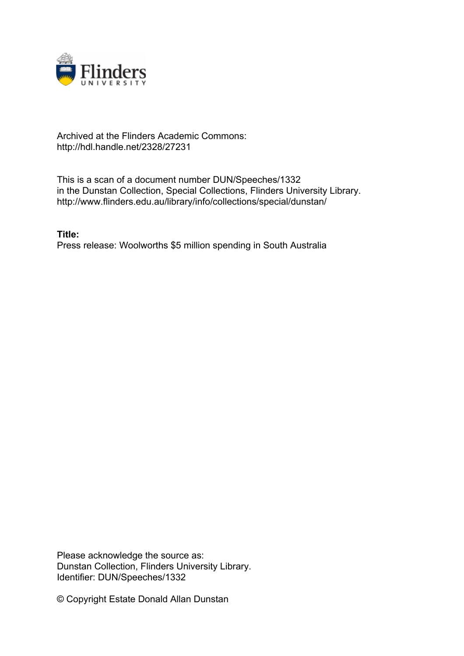

## Archived at the Flinders Academic Commons: http://hdl.handle.net/2328/27231

This is a scan of a document number DUN/Speeches/1332 in the Dunstan Collection, Special Collections, Flinders University Library. http://www.flinders.edu.au/library/info/collections/special/dunstan/

**Title:** Press release: Woolworths \$5 million spending in South Australia

Please acknowledge the source as: Dunstan Collection, Flinders University Library. Identifier: DUN/Speeches/1332

© Copyright Estate Donald Allan Dunstan